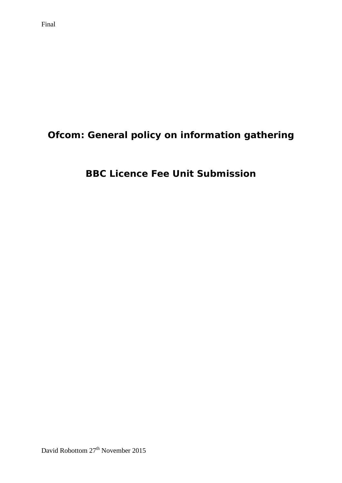# **Ofcom: General policy on information gathering**

# **BBC Licence Fee Unit Submission**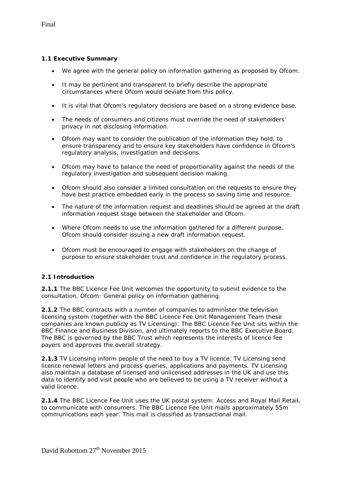### **1.1 Executive Summary**

- We agree with the general policy on information gathering as proposed by Ofcom.
- It may be pertinent and transparent to briefly describe the appropriate circumstances where Ofcom would deviate from this policy.
- It is vital that Ofcom's regulatory decisions are based on a strong evidence base.
- The needs of consumers and citizens must override the need of stakeholders' privacy in not disclosing information.
- Ofcom may want to consider the publication of the information they hold, to ensure transparency and to ensure key stakeholders have confidence in Ofcom's regulatory analysis, investigation and decisions.
- Ofcom may have to balance the need of proportionality against the needs of the regulatory investigation and subsequent decision making.
- Ofcom should also consider a limited consultation on the requests to ensure they have best practice embedded early in the process so saving time and resource.
- The nature of the information request and deadlines should be agreed at the draft information request stage between the stakeholder and Ofcom.
- Where Ofcom needs to use the information gathered for a different purpose, Ofcom should consider issuing a new draft information request.
- Ofcom must be encouraged to engage with stakeholders on the change of purpose to ensure stakeholder trust and confidence in the regulatory process.

### **2.1 Introduction**

**2.1.1** The BBC Licence Fee Unit welcomes the opportunity to submit evidence to the consultation, Ofcom: General policy on information gathering.

**2.1.2** The BBC contracts with a number of companies to administer the television licensing system (together with the BBC Licence Fee Unit Management Team these companies are known publicly as TV Licensing). The BBC Licence Fee Unit sits within the BBC Finance and Business Division, and ultimately reports to the BBC Executive Board. The BBC is governed by the BBC Trust which represents the interests of licence fee payers and approves the overall strategy.

**2.1.3** TV Licensing inform people of the need to buy a TV licence. TV Licensing send licence renewal letters and process queries, applications and payments. TV Licensing also maintain a database of licensed and unlicensed addresses in the UK and use this data to identify and visit people who are believed to be using a TV receiver without a valid licence.

**2.1.4** The BBC Licence Fee Unit uses the UK postal system: Access and Royal Mail Retail, to communicate with consumers. The BBC Licence Fee Unit mails approximately 55m communications each year. This mail is classified as transactional mail.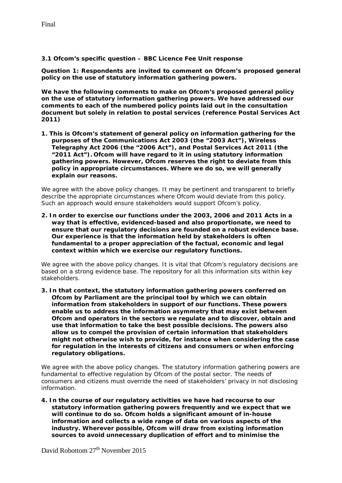**3.1 Ofcom's specific question – BBC Licence Fee Unit response**

*Question 1: Respondents are invited to comment on Ofcom's proposed general policy on the use of statutory information gathering powers.* 

**We have the following comments to make on Ofcom's proposed general policy on the use of statutory information gathering powers. We have addressed our comments to each of the numbered policy points laid out in the consultation document but solely in relation to postal services (reference Postal Services Act 2011)**

*1. This is Ofcom's statement of general policy on information gathering for the purposes of the Communications Act 2003 (the "2003 Act"), Wireless Telegraphy Act 2006 (the "2006 Act"), and Postal Services Act 2011 (the "2011 Act"). Ofcom will have regard to it in using statutory information gathering powers. However, Ofcom reserves the right to deviate from this policy in appropriate circumstances. Where we do so, we will generally explain our reasons.*

We agree with the above policy changes. It may be pertinent and transparent to briefly describe the appropriate circumstances where Ofcom would deviate from this policy. Such an approach would ensure stakeholders would support Ofcom's policy.

*2. In order to exercise our functions under the 2003, 2006 and 2011 Acts in a way that is effective, evidenced-based and also proportionate, we need to ensure that our regulatory decisions are founded on a robust evidence base. Our experience is that the information held by stakeholders is often fundamental to a proper appreciation of the factual, economic and legal context within which we exercise our regulatory functions.* 

We agree with the above policy changes. It is vital that Ofcom's regulatory decisions are based on a strong evidence base. The repository for all this information sits within key stakeholders.

*3. In that context, the statutory information gathering powers conferred on Ofcom by Parliament are the principal tool by which we can obtain information from stakeholders in support of our functions. These powers enable us to address the information asymmetry that may exist between Ofcom and operators in the sectors we regulate and to discover, obtain and use that information to take the best possible decisions. The powers also allow us to compel the provision of certain information that stakeholders might not otherwise wish to provide, for instance when considering the case for regulation in the interests of citizens and consumers or when enforcing regulatory obligations.* 

We agree with the above policy changes. The statutory information gathering powers are fundamental to effective regulation by Ofcom of the postal sector. The needs of consumers and citizens must override the need of stakeholders' privacy in not disclosing information.

*4. In the course of our regulatory activities we have had recourse to our statutory information gathering powers frequently and we expect that we will continue to do so. Ofcom holds a significant amount of in-house information and collects a wide range of data on various aspects of the industry. Wherever possible, Ofcom will draw from existing information sources to avoid unnecessary duplication of effort and to minimise the*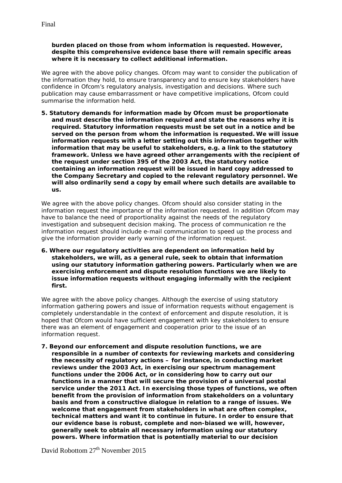#### *burden placed on those from whom information is requested. However, despite this comprehensive evidence base there will remain specific areas where it is necessary to collect additional information.*

We agree with the above policy changes. Ofcom may want to consider the publication of the information they hold, to ensure transparency and to ensure key stakeholders have confidence in Ofcom's regulatory analysis, investigation and decisions. Where such publication may cause embarrassment or have competitive implications, Ofcom could summarise the information held.

*5. Statutory demands for information made by Ofcom must be proportionate and must describe the information required and state the reasons why it is required. Statutory information requests must be set out in a notice and be served on the person from whom the information is requested. We will issue information requests with a letter setting out this information together with information that may be useful to stakeholders, e.g. a link to the statutory*  framework. Unless we have agreed other arrangements with the recipient of *the request under section 395 of the 2003 Act, the statutory notice containing an information request will be issued in hard copy addressed to the Company Secretary and copied to the relevant regulatory personnel. We will also ordinarily send a copy by email where such details are available to us.*

We agree with the above policy changes. Ofcom should also consider stating in the information request the importance of the information requested. In addition Ofcom may have to balance the need of proportionality against the needs of the regulatory investigation and subsequent decision making. The process of communication re the information request should include e-mail communication to speed up the process and give the information provider early warning of the information request.

*6. Where our regulatory activities are dependent on information held by stakeholders, we will, as a general rule, seek to obtain that information using our statutory information gathering powers. Particularly when we are exercising enforcement and dispute resolution functions we are likely to issue information requests without engaging informally with the recipient first.* 

We agree with the above policy changes. Although the exercise of using statutory information gathering powers and issue of information requests without engagement is completely understandable in the context of enforcement and dispute resolution, it is hoped that Ofcom would have sufficient engagement with key stakeholders to ensure there was an element of engagement and cooperation prior to the issue of an information request.

*7. Beyond our enforcement and dispute resolution functions, we are responsible in a number of contexts for reviewing markets and considering the necessity of regulatory actions – for instance, in conducting market reviews under the 2003 Act, in exercising our spectrum management functions under the 2006 Act, or in considering how to carry out our functions in a manner that will secure the provision of a universal postal service under the 2011 Act. In exercising those types of functions, we often benefit from the provision of information from stakeholders on a voluntary basis and from a constructive dialogue in relation to a range of issues. We welcome that engagement from stakeholders in what are often complex, technical matters and want it to continue in future. In order to ensure that our evidence base is robust, complete and non-biased we will, however, generally seek to obtain all necessary information using our statutory powers. Where information that is potentially material to our decision* 

David Robottom 27<sup>th</sup> November 2015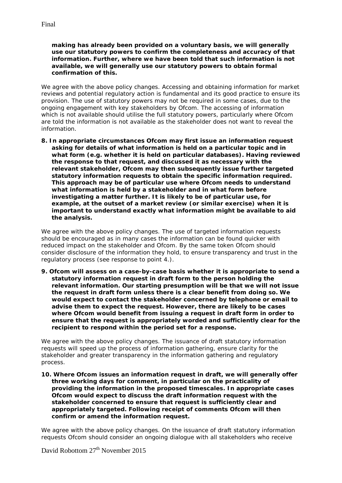*making has already been provided on a voluntary basis, we will generally use our statutory powers to confirm the completeness and accuracy of that information. Further, where we have been told that such information is not available, we will generally use our statutory powers to obtain formal confirmation of this.* 

We agree with the above policy changes. Accessing and obtaining information for market reviews and potential regulatory action is fundamental and its good practice to ensure its provision. The use of statutory powers may not be required in some cases, due to the ongoing engagement with key stakeholders by Ofcom. The accessing of information which is not available should utilise the full statutory powers, particularly where Ofcom are told the information is not available as the stakeholder does not want to reveal the information.

*8. In appropriate circumstances Ofcom may first issue an information request asking for details of what information is held on a particular topic and in what form (e.g. whether it is held on particular databases). Having reviewed the response to that request, and discussed it as necessary with the relevant stakeholder, Ofcom may then subsequently issue further targeted statutory information requests to obtain the specific information required. This approach may be of particular use where Ofcom needs to understand what information is held by a stakeholder and in what form before investigating a matter further. It is likely to be of particular use, for example, at the outset of a market review (or similar exercise) when it is important to understand exactly what information might be available to aid the analysis.* 

We agree with the above policy changes. The use of targeted information requests should be encouraged as in many cases the information can be found quicker with reduced impact on the stakeholder and Ofcom. By the same token Ofcom should consider disclosure of the information they hold, to ensure transparency and trust in the regulatory process (see response to point 4.).

*9. Ofcom will assess on a case-by-case basis whether it is appropriate to send a statutory information request in draft form to the person holding the relevant information. Our starting presumption will be that we will not issue the request in draft form unless there is a clear benefit from doing so. We would expect to contact the stakeholder concerned by telephone or email to advise them to expect the request. However, there are likely to be cases where Ofcom would benefit from issuing a request in draft form in order to ensure that the request is appropriately worded and sufficiently clear for the recipient to respond within the period set for a response.* 

We agree with the above policy changes. The issuance of draft statutory information requests will speed up the process of information gathering, ensure clarity for the stakeholder and greater transparency in the information gathering and regulatory process.

*10. Where Ofcom issues an information request in draft, we will generally offer three working days for comment, in particular on the practicality of providing the information in the proposed timescales. In appropriate cases Ofcom would expect to discuss the draft information request with the stakeholder concerned to ensure that request is sufficiently clear and appropriately targeted. Following receipt of comments Ofcom will then confirm or amend the information request.* 

We agree with the above policy changes. On the issuance of draft statutory information requests Ofcom should consider an ongoing dialogue with all stakeholders who receive

David Robottom 27<sup>th</sup> November 2015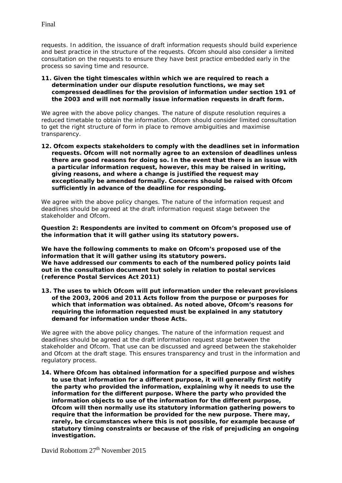requests. In addition, the issuance of draft information requests should build experience and best practice in the structure of the requests. Ofcom should also consider a limited consultation on the requests to ensure they have best practice embedded early in the process so saving time and resource.

#### *11. Given the tight timescales within which we are required to reach a determination under our dispute resolution functions, we may set compressed deadlines for the provision of information under section 191 of the 2003 and will not normally issue information requests in draft form.*

We agree with the above policy changes. The nature of dispute resolution requires a reduced timetable to obtain the information. Ofcom should consider limited consultation to get the right structure of form in place to remove ambiguities and maximise transparency.

*12. Ofcom expects stakeholders to comply with the deadlines set in information requests. Ofcom will not normally agree to an extension of deadlines unless there are good reasons for doing so. In the event that there is an issue with a particular information request, however, this may be raised in writing, giving reasons, and where a change is justified the request may exceptionally be amended formally. Concerns should be raised with Ofcom sufficiently in advance of the deadline for responding.* 

We agree with the above policy changes. The nature of the information request and deadlines should be agreed at the draft information request stage between the stakeholder and Ofcom.

#### *Question 2: Respondents are invited to comment on Ofcom's proposed use of the information that it will gather using its statutory powers.*

**We have the following comments to make on Ofcom's proposed use of the information that it will gather using its statutory powers. We have addressed our comments to each of the numbered policy points laid out in the consultation document but solely in relation to postal services (reference Postal Services Act 2011)**

*13. The uses to which Ofcom will put information under the relevant provisions of the 2003, 2006 and 2011 Acts follow from the purpose or purposes for which that information was obtained. As noted above, Ofcom's reasons for requiring the information requested must be explained in any statutory demand for information under those Acts.*

We agree with the above policy changes. The nature of the information request and deadlines should be agreed at the draft information request stage between the stakeholder and Ofcom. That use can be discussed and agreed between the stakeholder and Ofcom at the draft stage. This ensures transparency and trust in the information and regulatory process.

*14. Where Ofcom has obtained information for a specified purpose and wishes*  to use that information for a different purpose, it will generally first notify *the party who provided the information, explaining why it needs to use the information for the different purpose. Where the party who provided the information objects to use of the information for the different purpose, Ofcom will then normally use its statutory information gathering powers to require that the information be provided for the new purpose. There may, rarely, be circumstances where this is not possible, for example because of statutory timing constraints or because of the risk of prejudicing an ongoing investigation.*

David Robottom 27<sup>th</sup> November 2015